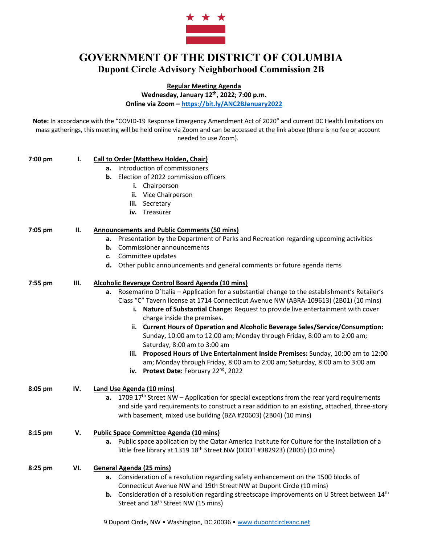

## **GOVERNMENT OF THE DISTRICT OF COLUMBIA Dupont Circle Advisory Neighborhood Commission 2B**

**Regular Meeting Agenda**

**Wednesday, January 12th, 2022; 7:00 p.m.**

**Online via Zoom – https://bit.ly/ANC2BJanuary2022**

**Note:** In accordance with the "COVID-19 Response Emergency Amendment Act of 2020" and current DC Health limitations on mass gatherings, this meeting will be held online via Zoom and can be accessed at the link above (there is no fee or account needed to use Zoom).

| 7:00 pm | Ι.   | <b>Call to Order (Matthew Holden, Chair)</b><br>Introduction of commissioners<br>а.<br>Election of 2022 commission officers<br>b.<br>i. Chairperson<br>ii. Vice Chairperson<br>iii. Secretary<br>iv. Treasurer                                                                                                                                                                                                                                                                                                                                                                                                                                                                                                                                                                                 |
|---------|------|------------------------------------------------------------------------------------------------------------------------------------------------------------------------------------------------------------------------------------------------------------------------------------------------------------------------------------------------------------------------------------------------------------------------------------------------------------------------------------------------------------------------------------------------------------------------------------------------------------------------------------------------------------------------------------------------------------------------------------------------------------------------------------------------|
| 7:05 pm | П.   | <b>Announcements and Public Comments (50 mins)</b><br>a. Presentation by the Department of Parks and Recreation regarding upcoming activities<br>Commissioner announcements<br>b.<br>Committee updates<br>c.<br>d. Other public announcements and general comments or future agenda items                                                                                                                                                                                                                                                                                                                                                                                                                                                                                                      |
| 7:55 pm | III. | Alcoholic Beverage Control Board Agenda (10 mins)<br>a. Rosemarino D'Italia - Application for a substantial change to the establishment's Retailer's<br>Class "C" Tavern license at 1714 Connecticut Avenue NW (ABRA-109613) (2B01) (10 mins)<br>i. Nature of Substantial Change: Request to provide live entertainment with cover<br>charge inside the premises.<br>ii. Current Hours of Operation and Alcoholic Beverage Sales/Service/Consumption:<br>Sunday, 10:00 am to 12:00 am; Monday through Friday, 8:00 am to 2:00 am;<br>Saturday, 8:00 am to 3:00 am<br>iii. Proposed Hours of Live Entertainment Inside Premises: Sunday, 10:00 am to 12:00<br>am; Monday through Friday, 8:00 am to 2:00 am; Saturday, 8:00 am to 3:00 am<br>iv. Protest Date: February 22 <sup>nd</sup> , 2022 |
| 8:05 pm | IV.  | <b>Land Use Agenda (10 mins)</b><br>a. 1709 $17th$ Street NW – Application for special exceptions from the rear yard requirements<br>and side yard requirements to construct a rear addition to an existing, attached, three-story<br>with basement, mixed use building (BZA #20603) (2B04) (10 mins)                                                                                                                                                                                                                                                                                                                                                                                                                                                                                          |
| 8:15 pm | V.   | <b>Public Space Committee Agenda (10 mins)</b><br>Public space application by the Qatar America Institute for Culture for the installation of a<br>а.<br>little free library at 1319 18 <sup>th</sup> Street NW (DDOT #382923) (2B05) (10 mins)                                                                                                                                                                                                                                                                                                                                                                                                                                                                                                                                                |
| 8:25 pm | VI.  | <b>General Agenda (25 mins)</b><br>a. Consideration of a resolution regarding safety enhancement on the 1500 blocks of<br>Connecticut Avenue NW and 19th Street NW at Dupont Circle (10 mins)<br>b. Consideration of a resolution regarding streetscape improvements on U Street between 14th<br>Street and 18 <sup>th</sup> Street NW (15 mins)                                                                                                                                                                                                                                                                                                                                                                                                                                               |